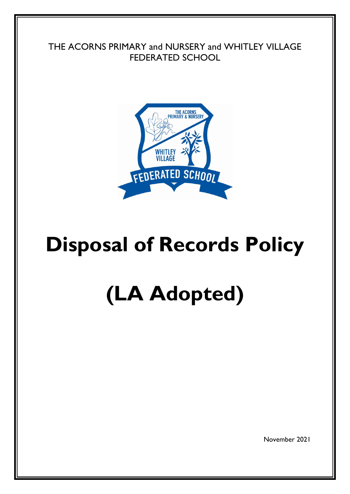THE ACORNS PRIMARY and NURSERY and WHITLEY VILLAGE FEDERATED SCHOOL



# **Disposal of Records Policy**

# **(LA Adopted)**

November 2021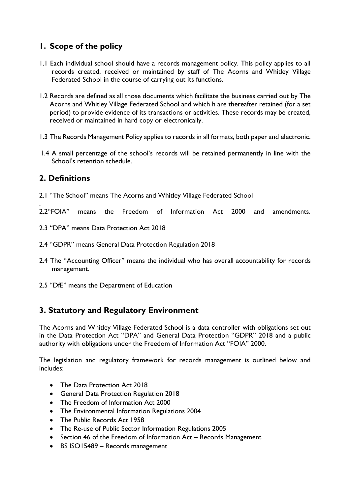# **1. Scope of the policy**

- 1.1 Each individual school should have a records management policy. This policy applies to all records created, received or maintained by staff of The Acorns and Whitley Village Federated School in the course of carrying out its functions.
- 1.2 Records are defined as all those documents which facilitate the business carried out by The Acorns and Whitley Village Federated School and which h are thereafter retained (for a set period) to provide evidence of its transactions or activities. These records may be created, received or maintained in hard copy or electronically.
- 1.3 The Records Management Policy applies to records in all formats, both paper and electronic.
- 1.4 A small percentage of the school's records will be retained permanently in line with the School's retention schedule.

#### **2. Definitions**

.

- 2.1 "The School" means The Acorns and Whitley Village Federated School
- 2.2"FOIA" means the Freedom of Information Act 2000 and amendments.
- 2.3 "DPA" means Data Protection Act 2018
- 2.4 "GDPR" means General Data Protection Regulation 2018
- 2.4 The "Accounting Officer" means the individual who has overall accountability for records management.
- 2.5 "DfE" means the Department of Education

## **3. Statutory and Regulatory Environment**

The Acorns and Whitley Village Federated School is a data controller with obligations set out in the Data Protection Act "DPA" and General Data Protection "GDPR" 2018 and a public authority with obligations under the Freedom of Information Act "FOIA" 2000.

The legislation and regulatory framework for records management is outlined below and includes:

- The Data Protection Act 2018
- General Data Protection Regulation 2018
- The Freedom of Information Act 2000
- The Environmental Information Regulations 2004
- The Public Records Act 1958
- The Re-use of Public Sector Information Regulations 2005
- Section 46 of the Freedom of Information Act Records Management
- BS ISO15489 Records management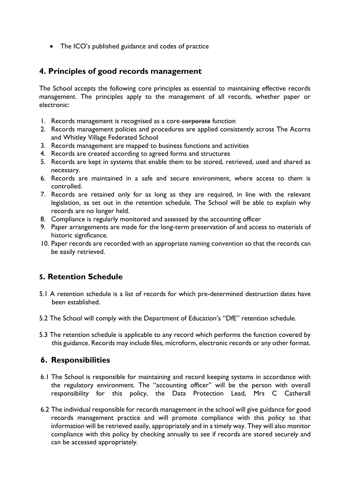• The ICO's published guidance and codes of practice

#### **4. Principles of good records management**

The School accepts the following core principles as essential to maintaining effective records management. The principles apply to the management of all records, whether paper or electronic:

- 1. Records management is recognised as a core-corporate function
- 2. Records management policies and procedures are applied consistently across The Acorns and Whitley Village Federated School
- 3. Records management are mapped to business functions and activities
- 4. Records are created according to agreed forms and structures
- 5. Records are kept in systems that enable them to be stored, retrieved, used and shared as necessary.
- 6. Records are maintained in a safe and secure environment, where access to them is controlled.
- 7. Records are retained only for as long as they are required, in line with the relevant legislation, as set out in the retention schedule. The School will be able to explain why records are no longer held.
- 8. Compliance is regularly monitored and assessed by the accounting officer
- 9. Paper arrangements are made for the long-term preservation of and access to materials of historic significance.
- 10. Paper records are recorded with an appropriate naming convention so that the records can be easily retrieved.

## **5. Retention Schedule**

- 5.1 A retention schedule is a list of records for which pre-determined destruction dates have been established.
- 5.2 The School will comply with the Department of Education's "DfE" retention schedule.
- 5.3 The retention schedule is applicable to any record which performs the function covered by this guidance. Records may include files, microform, electronic records or any other format.

#### **6. Responsibilities**

- 6.1 The School is responsible for maintaining and record keeping systems in accordance with the regulatory environment. The "accounting officer" will be the person with overall responsibility for this policy, the Data Protection Lead, Mrs C Catherall
- 6.2 The individual responsible for records management in the school will give guidance for good records management practice and will promote compliance with this policy so that information will be retrieved easily, appropriately and in a timely way. They will also monitor compliance with this policy by checking annually to see if records are stored securely and can be accessed appropriately.